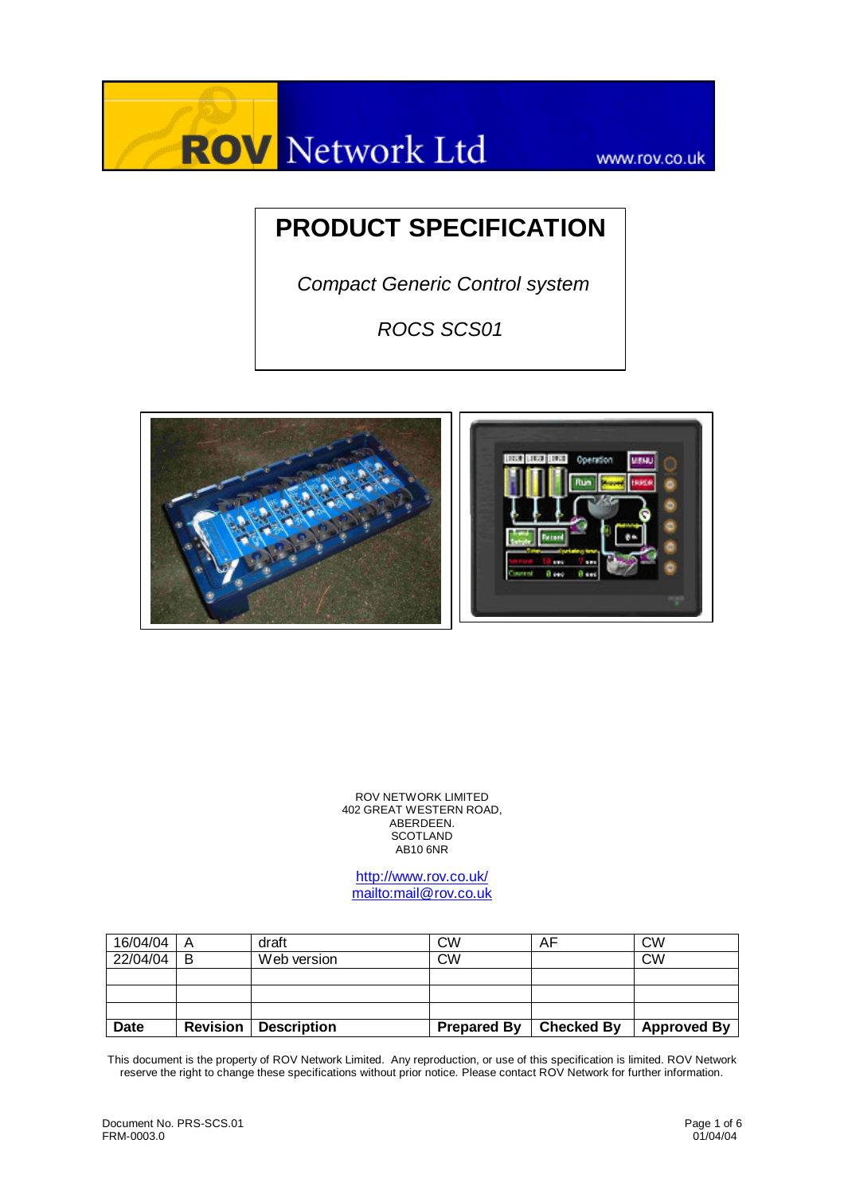

www.rov.co.uk

# **PRODUCT SPECIFICATION**

 *Compact Generic Control system* 

*ROCS SCS01*



ROV NETWORK LIMITED 402 GREAT WESTERN ROAD, ABERDEEN. **SCOTLAND**  $AB10$  6NR

http://www.rov.co.uk/ mailto:mail@rov.co.uk

| 16/04/04    | A        | draft              | СW                 | AF         | <b>CW</b>          |
|-------------|----------|--------------------|--------------------|------------|--------------------|
| 22/04/04    | B        | Web version        | <b>CW</b>          |            | <b>CW</b>          |
|             |          |                    |                    |            |                    |
|             |          |                    |                    |            |                    |
|             |          |                    |                    |            |                    |
| <b>Date</b> | Revision | <b>Description</b> | <b>Prepared By</b> | Checked By | <b>Approved By</b> |

This document is the property of ROV Network Limited. Any reproduction, or use of this specification is limited. ROV Network reserve the right to change these specifications without prior notice. Please contact ROV Network for further information.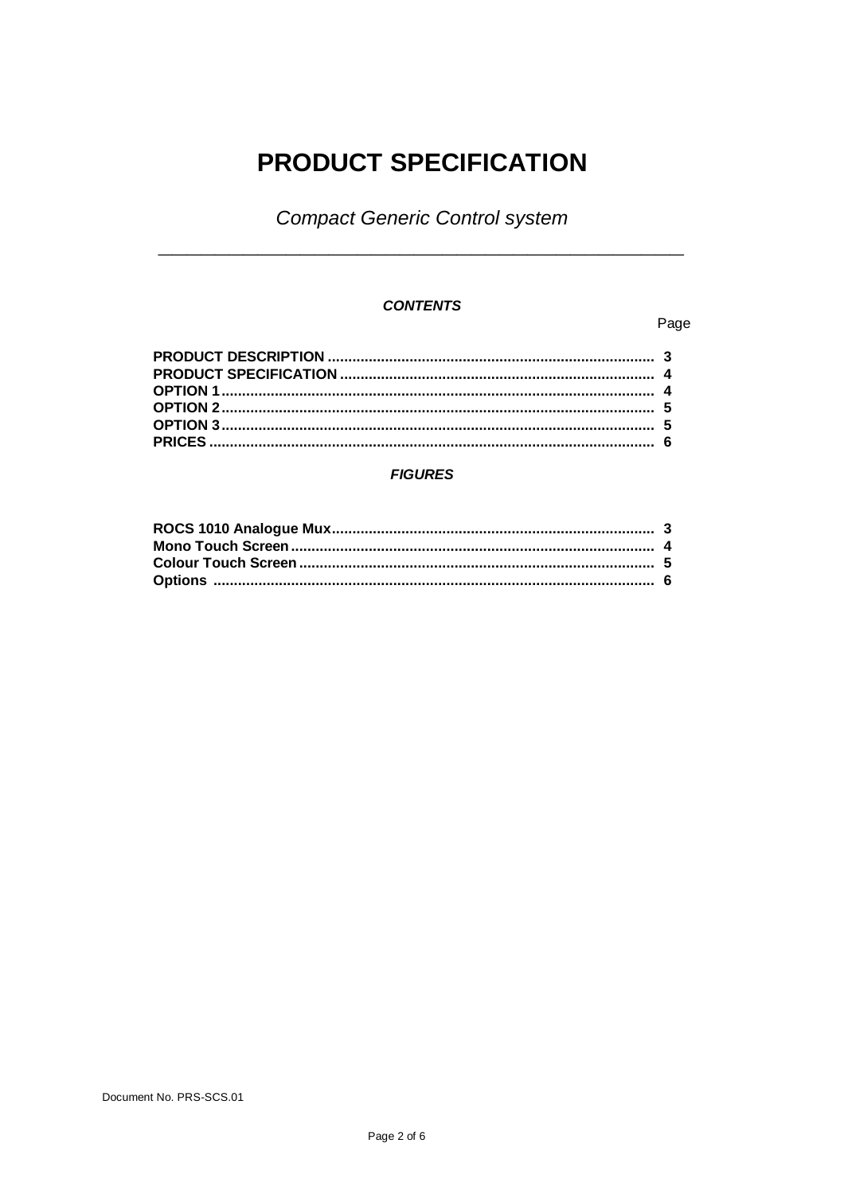# **PRODUCT SPECIFICATION**

**Compact Generic Control system** 

## **CONTENTS**

#### Page

#### **FIGURES**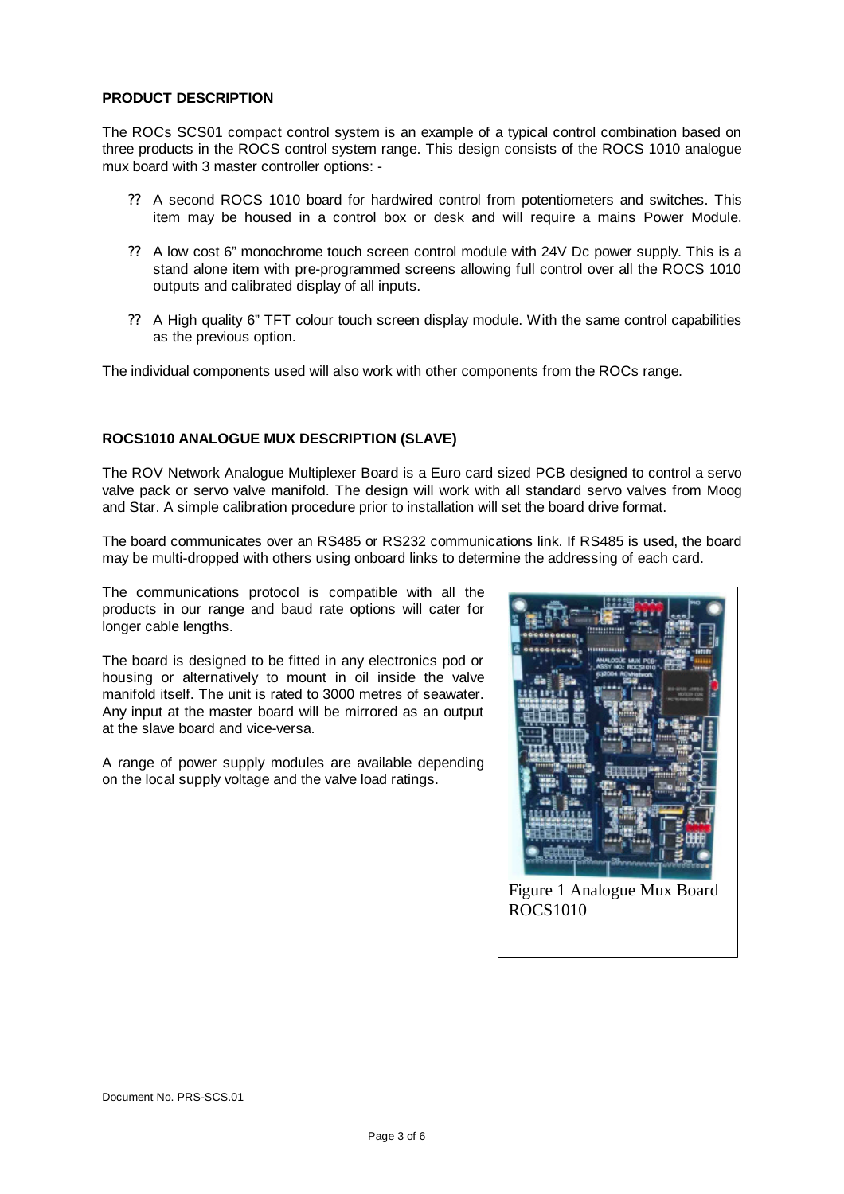#### **PRODUCT DESCRIPTION**

The ROCs SCS01 compact control system is an example of a typical control combination based on three products in the ROCS control system range. This design consists of the ROCS 1010 analogue mux board with 3 master controller options: -

- ? ? A second ROCS 1010 board for hardwired control from potentiometers and switches. This item may be housed in a control box or desk and will require a mains Power Module.
- ? ? A low cost 6" monochrome touch screen control module with 24V Dc power supply. This is a stand alone item with pre-programmed screens allowing full control over all the ROCS 1010 outputs and calibrated display of all inputs.
- ? ? A High quality 6" TFT colour touch screen display module. With the same control capabilities as the previous option.

The individual components used will also work with other components from the ROCs range.

#### **ROCS1010 ANALOGUE MUX DESCRIPTION (SLAVE)**

The ROV Network Analogue Multiplexer Board is a Euro card sized PCB designed to control a servo valve pack or servo valve manifold. The design will work with all standard servo valves from Moog and Star. A simple calibration procedure prior to installation will set the board drive format.

The board communicates over an RS485 or RS232 communications link. If RS485 is used, the board may be multi-dropped with others using onboard links to determine the addressing of each card.

The communications protocol is compatible with all the products in our range and baud rate options will cater for longer cable lengths.

The board is designed to be fitted in any electronics pod or housing or alternatively to mount in oil inside the valve manifold itself. The unit is rated to 3000 metres of seawater. Any input at the master board will be mirrored as an output at the slave board and vice-versa.

A range of power supply modules are available depending on the local supply voltage and the valve load ratings.



Figure 1 Analogue Mux Board ROCS1010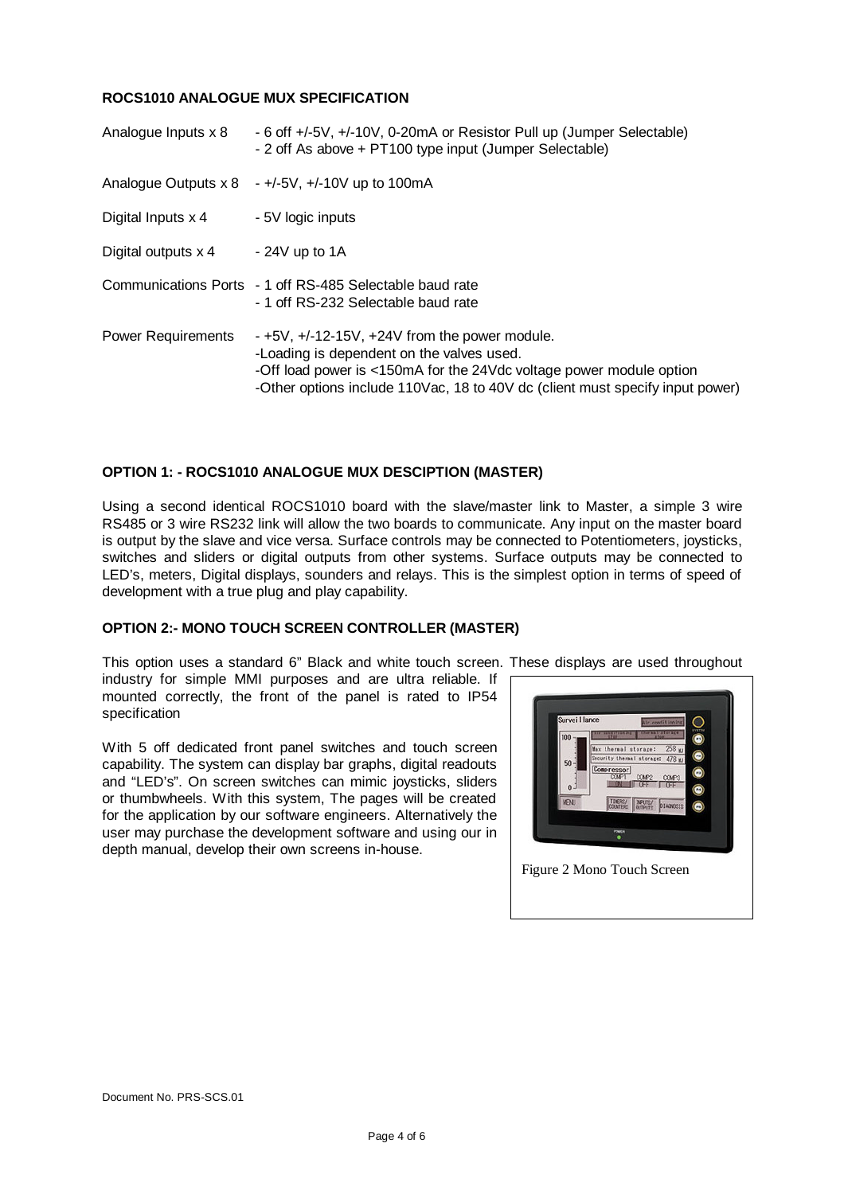#### **ROCS1010 ANALOGUE MUX SPECIFICATION**

| Analogue Inputs x 8       | - 6 off +/-5V, +/-10V, 0-20mA or Resistor Pull up (Jumper Selectable)<br>- 2 off As above + PT100 type input (Jumper Selectable)                                                                                                                          |
|---------------------------|-----------------------------------------------------------------------------------------------------------------------------------------------------------------------------------------------------------------------------------------------------------|
|                           | Analogue Outputs $x 8 +1/5V$ , $+/-10V$ up to 100mA                                                                                                                                                                                                       |
| Digital Inputs x 4        | - 5V logic inputs                                                                                                                                                                                                                                         |
| Digital outputs x 4       | $-24V$ up to 1A                                                                                                                                                                                                                                           |
|                           | Communications Ports - 1 off RS-485 Selectable baud rate<br>- 1 off RS-232 Selectable baud rate                                                                                                                                                           |
| <b>Power Requirements</b> | $-+5V$ , $+/-12-15V$ , $+24V$ from the power module.<br>-Loading is dependent on the valves used.<br>-Off load power is <150mA for the 24Vdc voltage power module option<br>-Other options include 110Vac, 18 to 40V dc (client must specify input power) |

#### **OPTION 1: - ROCS1010 ANALOGUE MUX DESCIPTION (MASTER)**

Using a second identical ROCS1010 board with the slave/master link to Master, a simple 3 wire RS485 or 3 wire RS232 link will allow the two boards to communicate. Any input on the master board is output by the slave and vice versa. Surface controls may be connected to Potentiometers, joysticks, switches and sliders or digital outputs from other systems. Surface outputs may be connected to LED's, meters, Digital displays, sounders and relays. This is the simplest option in terms of speed of development with a true plug and play capability.

#### **OPTION 2:- MONO TOUCH SCREEN CONTROLLER (MASTER)**

This option uses a standard 6" Black and white touch screen. These displays are used throughout

industry for simple MMI purposes and are ultra reliable. If mounted correctly, the front of the panel is rated to IP54 specification

With 5 off dedicated front panel switches and touch screen capability. The system can display bar graphs, digital readouts and "LED's". On screen switches can mimic joysticks, sliders or thumbwheels. With this system, The pages will be created for the application by our software engineers. Alternatively the user may purchase the development software and using our in depth manual, develop their own screens in-house.

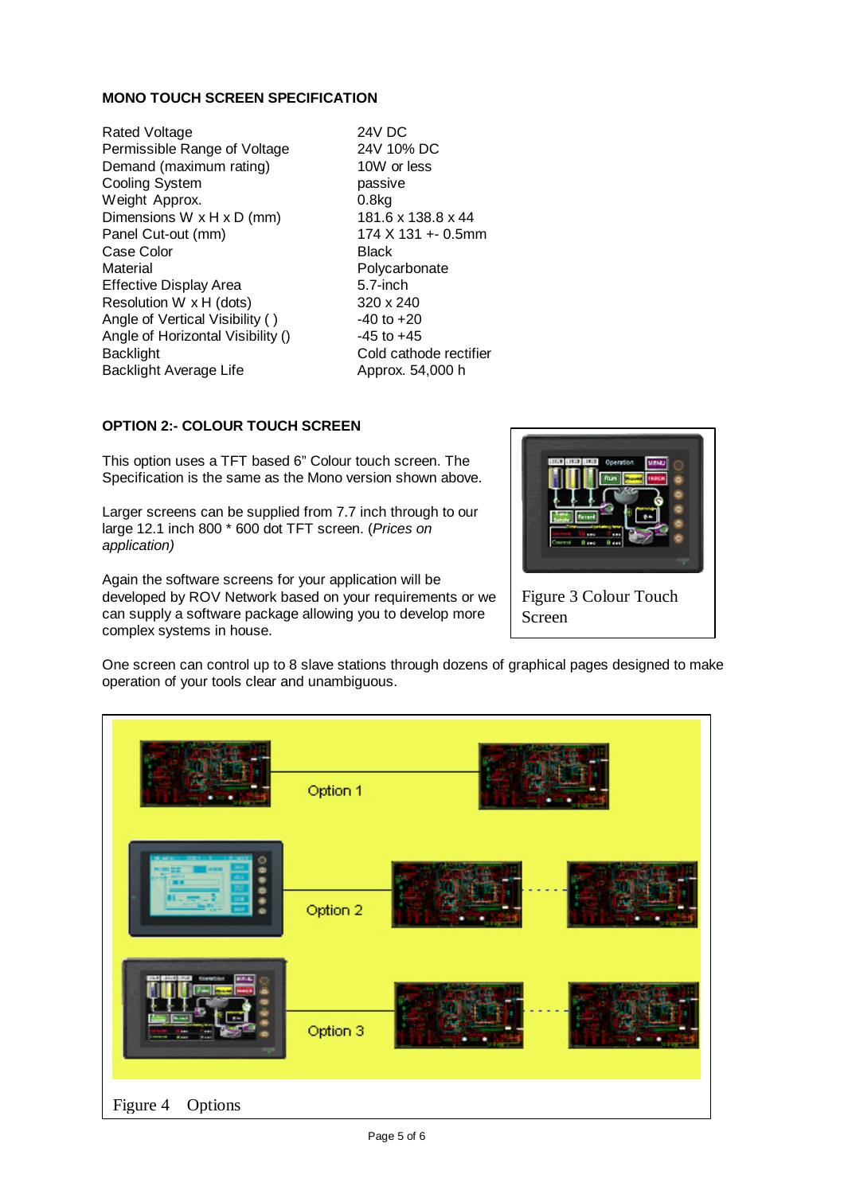#### **MONO TOUCH SCREEN SPECIFICATION**

Rated Voltage 24V DC<br>
Permissible Range of Voltage 24V 10% DC Permissible Range of Voltage Demand (maximum rating) 10W or less Cooling System **passive** Weight Approx. 0.8kg Dimensions W x H x D (mm) 181.6 x 138.8 x 44 Panel Cut-out (mm) 174 X 131 +- 0.5mm Case Color **Black** Material Material Research Material Material Research Polycarbonate Effective Display Area 5.7-inch Resolution W  $\times$  H (dots) 320  $\times$  240 Angle of Vertical Visibility () -40 to +20 Angle of Horizontal Visibility () -45 to +45 Backlight **Cold cathode rectifier** Backlight Average Life Approx. 54,000 h

### **OPTION 2:- COLOUR TOUCH SCREEN**

This option uses a TFT based 6" Colour touch screen. The Specification is the same as the Mono version shown above.

Larger screens can be supplied from 7.7 inch through to our large 12.1 inch 800 \* 600 dot TFT screen. (*Prices on application)*

Again the software screens for your application will be developed by ROV Network based on your requirements or we can supply a software package allowing you to develop more complex systems in house.



Screen

One screen can control up to 8 slave stations through dozens of graphical pages designed to make operation of your tools clear and unambiguous.